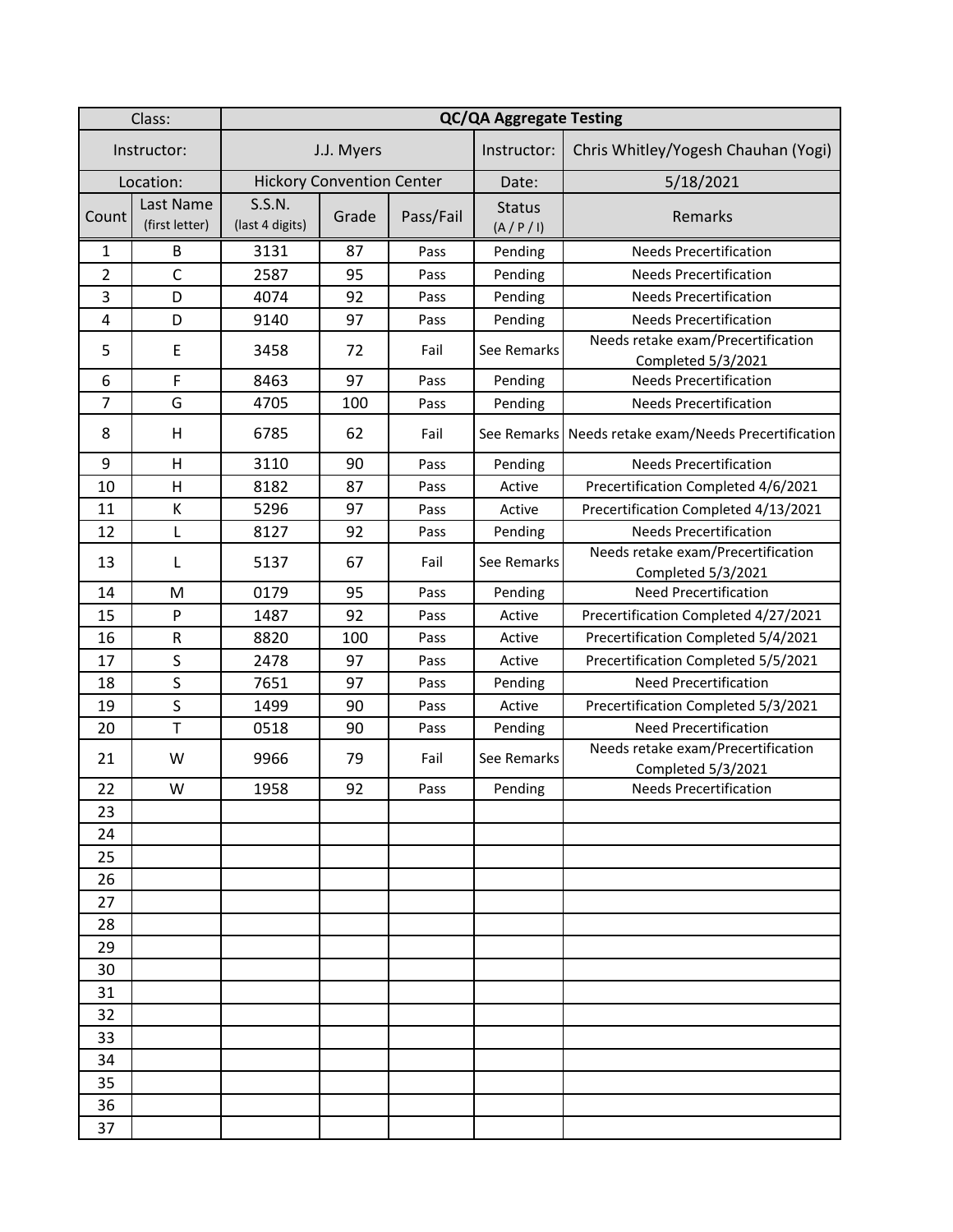| Class:         |                             | <b>QC/QA Aggregate Testing</b>   |       |           |                          |                                                          |  |  |
|----------------|-----------------------------|----------------------------------|-------|-----------|--------------------------|----------------------------------------------------------|--|--|
| Instructor:    |                             | J.J. Myers                       |       |           | Instructor:              | Chris Whitley/Yogesh Chauhan (Yogi)                      |  |  |
| Location:      |                             | <b>Hickory Convention Center</b> |       |           | Date:                    | 5/18/2021                                                |  |  |
| Count          | Last Name<br>(first letter) | S.S.N.<br>(last 4 digits)        | Grade | Pass/Fail | <b>Status</b><br>(A/P/I) | Remarks                                                  |  |  |
| 1              | B                           | 3131                             | 87    | Pass      | Pending                  | <b>Needs Precertification</b>                            |  |  |
| $\overline{2}$ | $\mathsf C$                 | 2587                             | 95    | Pass      | Pending                  | <b>Needs Precertification</b>                            |  |  |
| 3              | D                           | 4074                             | 92    | Pass      | Pending                  | <b>Needs Precertification</b>                            |  |  |
| 4              | D                           | 9140                             | 97    | Pass      | Pending                  | <b>Needs Precertification</b>                            |  |  |
| 5              | E                           | 3458                             | 72    | Fail      | See Remarks              | Needs retake exam/Precertification<br>Completed 5/3/2021 |  |  |
| 6              | F                           | 8463                             | 97    | Pass      | Pending                  | <b>Needs Precertification</b>                            |  |  |
| $\overline{7}$ | G                           | 4705                             | 100   | Pass      | Pending                  | <b>Needs Precertification</b>                            |  |  |
| 8              | H                           | 6785                             | 62    | Fail      | See Remarks              | Needs retake exam/Needs Precertification                 |  |  |
| 9              | H                           | 3110                             | 90    | Pass      | Pending                  | <b>Needs Precertification</b>                            |  |  |
| 10             | $\mathsf{H}$                | 8182                             | 87    | Pass      | Active                   | Precertification Completed 4/6/2021                      |  |  |
| 11             | К                           | 5296                             | 97    | Pass      | Active                   | Precertification Completed 4/13/2021                     |  |  |
| 12             | L                           | 8127                             | 92    | Pass      | Pending                  | <b>Needs Precertification</b>                            |  |  |
| 13             | L                           | 5137                             | 67    | Fail      | See Remarks              | Needs retake exam/Precertification<br>Completed 5/3/2021 |  |  |
| 14             | M                           | 0179                             | 95    | Pass      | Pending                  | <b>Need Precertification</b>                             |  |  |
| 15             | $\mathsf{P}$                | 1487                             | 92    | Pass      | Active                   | Precertification Completed 4/27/2021                     |  |  |
| 16             | R                           | 8820                             | 100   | Pass      | Active                   | Precertification Completed 5/4/2021                      |  |  |
| 17             | $\sf S$                     | 2478                             | 97    | Pass      | Active                   | Precertification Completed 5/5/2021                      |  |  |
| 18             | $\sf S$                     | 7651                             | 97    | Pass      | Pending                  | <b>Need Precertification</b>                             |  |  |
| 19             | $\sf S$                     | 1499                             | 90    | Pass      | Active                   | Precertification Completed 5/3/2021                      |  |  |
| 20             | T                           | 0518                             | 90    | Pass      | Pending                  | <b>Need Precertification</b>                             |  |  |
| 21             | W                           | 9966                             | 79    | Fail      | See Remarks              | Needs retake exam/Precertification<br>Completed 5/3/2021 |  |  |
| 22             | W                           | 1958                             | 92    | Pass      | Pending                  | <b>Needs Precertification</b>                            |  |  |
| 23             |                             |                                  |       |           |                          |                                                          |  |  |
| 24             |                             |                                  |       |           |                          |                                                          |  |  |
| 25             |                             |                                  |       |           |                          |                                                          |  |  |
| 26             |                             |                                  |       |           |                          |                                                          |  |  |
| 27             |                             |                                  |       |           |                          |                                                          |  |  |
| 28             |                             |                                  |       |           |                          |                                                          |  |  |
| 29             |                             |                                  |       |           |                          |                                                          |  |  |
| 30             |                             |                                  |       |           |                          |                                                          |  |  |
| 31             |                             |                                  |       |           |                          |                                                          |  |  |
| 32             |                             |                                  |       |           |                          |                                                          |  |  |
| 33             |                             |                                  |       |           |                          |                                                          |  |  |
| 34             |                             |                                  |       |           |                          |                                                          |  |  |
| 35             |                             |                                  |       |           |                          |                                                          |  |  |
| 36             |                             |                                  |       |           |                          |                                                          |  |  |
| 37             |                             |                                  |       |           |                          |                                                          |  |  |